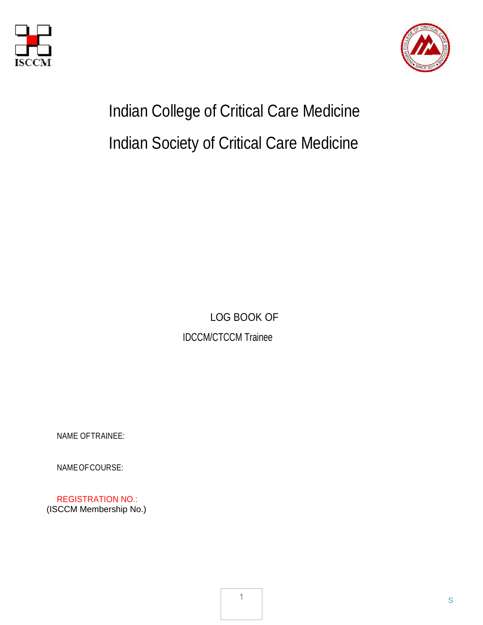



# Indian College of Critical Care Medicine Indian Society of Critical Care Medicine

LOG BOOK OF IDCCM/CTCCM Trainee

NAME OFTRAINEE:

NAMEOFCOURSE:

REGISTRATION NO.: (ISCCM Membership No.)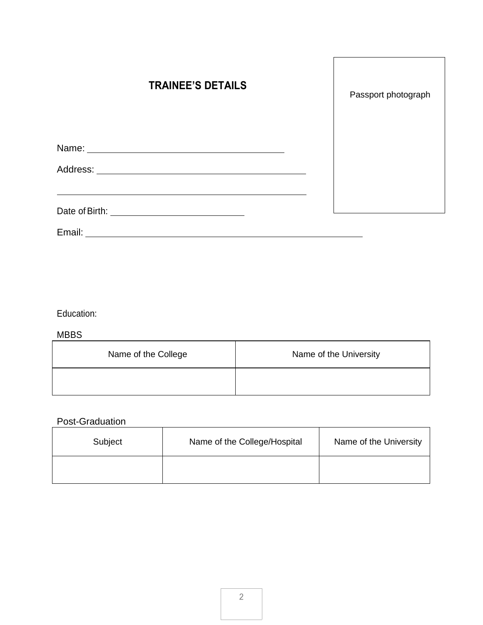| <b>TRAINEE'S DETAILS</b>                                  | Passport photograph |
|-----------------------------------------------------------|---------------------|
| Name: Name:                                               |                     |
|                                                           |                     |
|                                                           |                     |
| Email:<br><u> 1989 - Andrea Station Barbara (b. 1989)</u> |                     |

Education:

MBBS

| Name of the College | Name of the University |
|---------------------|------------------------|
|                     |                        |

#### Post-Graduation

| Post-Graduation |                              |                        |
|-----------------|------------------------------|------------------------|
| Subject         | Name of the College/Hospital | Name of the University |
|                 |                              |                        |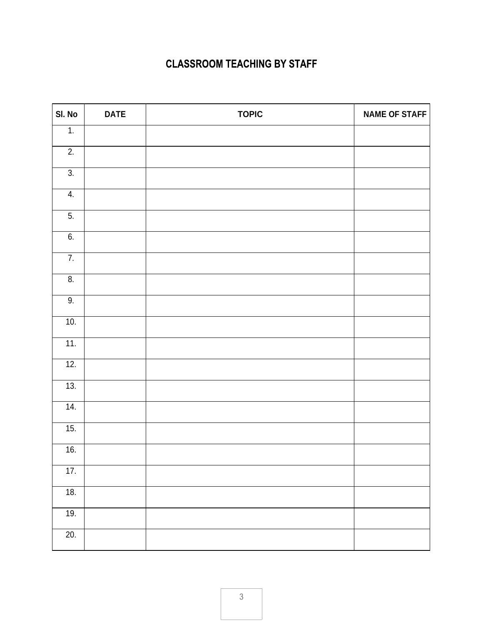#### **CLASSROOM TEACHING BY STAFF**

| SI. No            | <b>DATE</b> | <b>TOPIC</b> | <b>NAME OF STAFF</b> |
|-------------------|-------------|--------------|----------------------|
| 1.                |             |              |                      |
| 2.                |             |              |                      |
| $\overline{3}$ .  |             |              |                      |
| 4.                |             |              |                      |
| 5.                |             |              |                      |
| 6.                |             |              |                      |
| $\overline{7}$ .  |             |              |                      |
| 8.                |             |              |                      |
| 9.                |             |              |                      |
| 10.               |             |              |                      |
| 11.               |             |              |                      |
| 12.               |             |              |                      |
| 13.               |             |              |                      |
| $\overline{14}$ . |             |              |                      |
| 15.               |             |              |                      |
| 16.               |             |              |                      |
| 17.               |             |              |                      |
| 18.               |             |              |                      |
| 19.               |             |              |                      |
| 20.               |             |              |                      |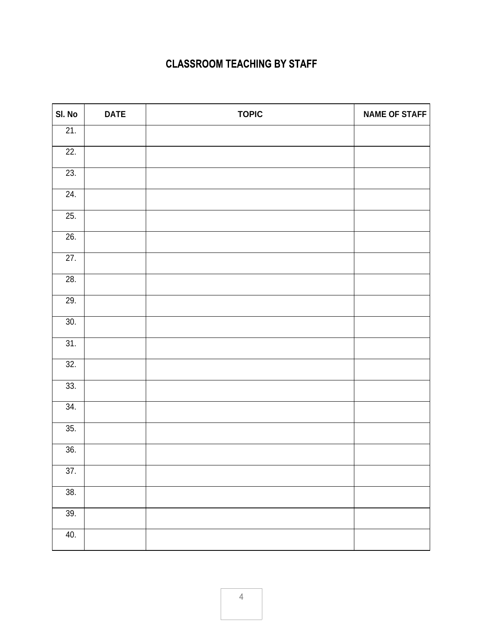#### **CLASSROOM TEACHING BY STAFF**

| SI. No            | <b>DATE</b> | <b>TOPIC</b> | <b>NAME OF STAFF</b> |
|-------------------|-------------|--------------|----------------------|
| 21.               |             |              |                      |
| 22.               |             |              |                      |
| 23.               |             |              |                      |
| 24.               |             |              |                      |
| 25.               |             |              |                      |
| 26.               |             |              |                      |
| 27.               |             |              |                      |
| 28.               |             |              |                      |
| 29.               |             |              |                      |
| 30.               |             |              |                      |
| 31.               |             |              |                      |
| 32.               |             |              |                      |
| 33.               |             |              |                      |
| $\overline{34}$ . |             |              |                      |
| 35.               |             |              |                      |
| 36.               |             |              |                      |
| $\overline{37}$ . |             |              |                      |
| 38.               |             |              |                      |
| 39.               |             |              |                      |
| 40.               |             |              |                      |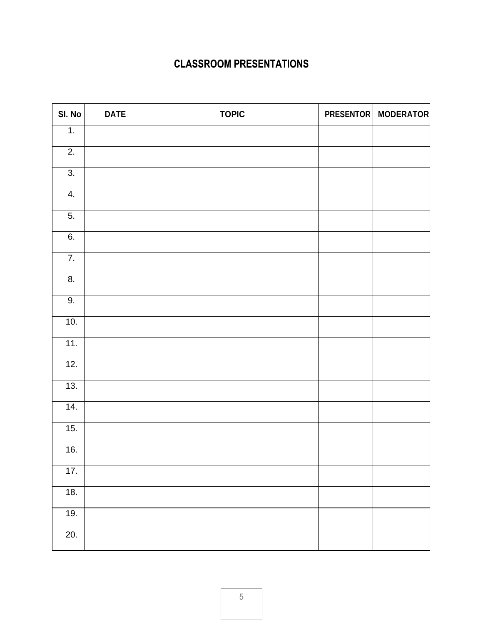| SI. No            | <b>DATE</b> | <b>TOPIC</b> | <b>PRESENTOR   MODERATOR</b> |
|-------------------|-------------|--------------|------------------------------|
| 1.                |             |              |                              |
| $\overline{2}$ .  |             |              |                              |
| $\overline{3}$ .  |             |              |                              |
| 4.                |             |              |                              |
| $\overline{5}$ .  |             |              |                              |
| 6.                |             |              |                              |
| $\overline{7}$ .  |             |              |                              |
| $\overline{8}$ .  |             |              |                              |
| 9.                |             |              |                              |
| 10.               |             |              |                              |
| 11.               |             |              |                              |
| 12.               |             |              |                              |
| 13.               |             |              |                              |
| 14.               |             |              |                              |
| 15.               |             |              |                              |
| 16.               |             |              |                              |
| 17.               |             |              |                              |
| 18.               |             |              |                              |
| 19.               |             |              |                              |
| $\overline{20}$ . |             |              |                              |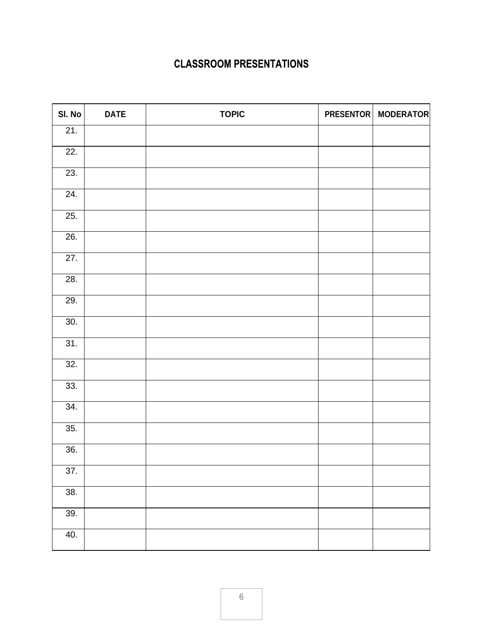| SI. No            | <b>DATE</b> | <b>TOPIC</b> | PRESENTOR   MODERATOR |
|-------------------|-------------|--------------|-----------------------|
| 21.               |             |              |                       |
| 22.               |             |              |                       |
| 23.               |             |              |                       |
| 24.               |             |              |                       |
| 25.               |             |              |                       |
| 26.               |             |              |                       |
| 27.               |             |              |                       |
| 28.               |             |              |                       |
| 29.               |             |              |                       |
| 30.               |             |              |                       |
| 31.               |             |              |                       |
| $\overline{32}$ . |             |              |                       |
| 33.               |             |              |                       |
| 34.               |             |              |                       |
| 35.               |             |              |                       |
| 36.               |             |              |                       |
| 37.               |             |              |                       |
| 38.               |             |              |                       |
| 39.               |             |              |                       |
| 40.               |             |              |                       |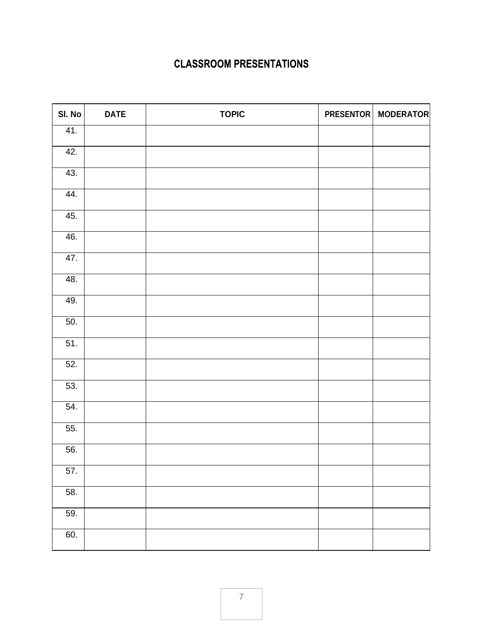| SI. No            | <b>DATE</b> | <b>TOPIC</b> | PRESENTOR   MODERATOR |
|-------------------|-------------|--------------|-----------------------|
| 41.               |             |              |                       |
| 42.               |             |              |                       |
| 43.               |             |              |                       |
| 44.               |             |              |                       |
| 45.               |             |              |                       |
| 46.               |             |              |                       |
| 47.               |             |              |                       |
| $\overline{48}$ . |             |              |                       |
| 49.               |             |              |                       |
| 50.               |             |              |                       |
| 51.               |             |              |                       |
| $\overline{52}$ . |             |              |                       |
| 53.               |             |              |                       |
| 54.               |             |              |                       |
| 55.               |             |              |                       |
| 56.               |             |              |                       |
| 57.               |             |              |                       |
| 58.               |             |              |                       |
| 59.               |             |              |                       |
| 60.               |             |              |                       |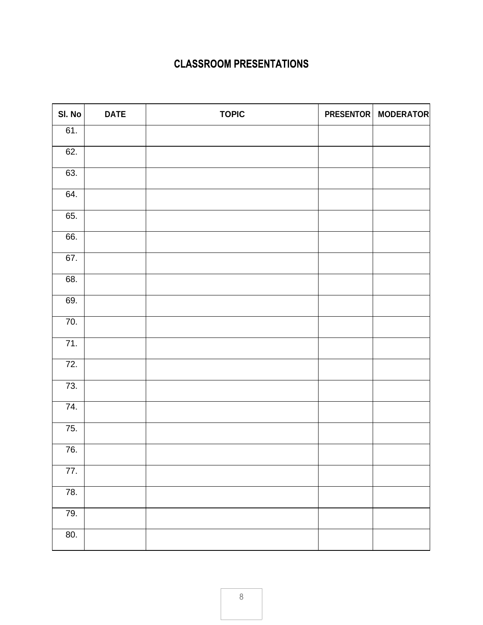| SI. No            | <b>DATE</b> | <b>TOPIC</b> | PRESENTOR   MODERATOR |
|-------------------|-------------|--------------|-----------------------|
| 61.               |             |              |                       |
| 62.               |             |              |                       |
| 63.               |             |              |                       |
| $\overline{6}4.$  |             |              |                       |
| 65.               |             |              |                       |
| 66.               |             |              |                       |
| 67.               |             |              |                       |
| 68.               |             |              |                       |
| 69.               |             |              |                       |
| 70.               |             |              |                       |
| $\overline{71}$ . |             |              |                       |
| 72.               |             |              |                       |
| 73.               |             |              |                       |
| 74.               |             |              |                       |
| 75.               |             |              |                       |
| 76.               |             |              |                       |
| 77.               |             |              |                       |
| 78.               |             |              |                       |
| 79.               |             |              |                       |
| 80.               |             |              |                       |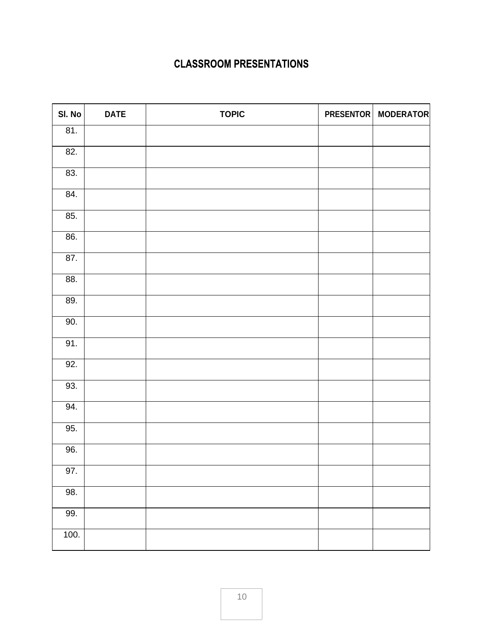| SI. No            | <b>DATE</b> | <b>TOPIC</b> | PRESENTOR   MODERATOR |
|-------------------|-------------|--------------|-----------------------|
| 81.               |             |              |                       |
| 82.               |             |              |                       |
| 83.               |             |              |                       |
| $\overline{84}$ . |             |              |                       |
| 85.               |             |              |                       |
| 86.               |             |              |                       |
| 87.               |             |              |                       |
| 88.               |             |              |                       |
| 89.               |             |              |                       |
| 90.               |             |              |                       |
| 91.               |             |              |                       |
| 92.               |             |              |                       |
| 93.               |             |              |                       |
| 94.               |             |              |                       |
| 95.               |             |              |                       |
| 96.               |             |              |                       |
| 97.               |             |              |                       |
| 98.               |             |              |                       |
| 99.               |             |              |                       |
| 100.              |             |              |                       |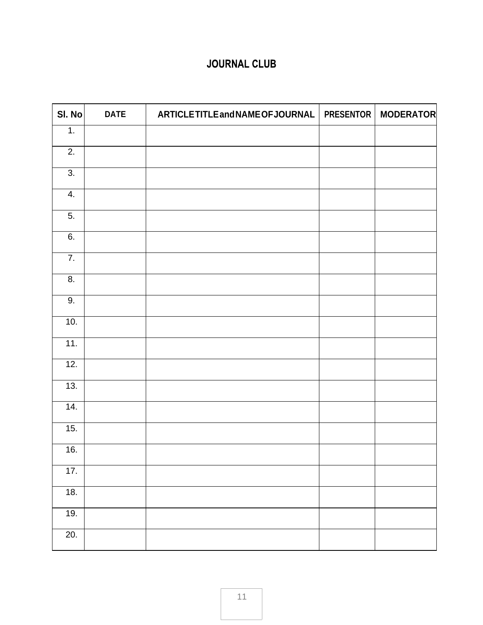# **JOURNAL CLUB**

| SI. No            | <b>DATE</b> | ARTICLETITLEandNAMEOFJOURNAL | <b>PRESENTOR</b> | <b>MODERATOR</b> |
|-------------------|-------------|------------------------------|------------------|------------------|
| 1.                |             |                              |                  |                  |
| 2.                |             |                              |                  |                  |
| 3.                |             |                              |                  |                  |
| 4.                |             |                              |                  |                  |
| 5.                |             |                              |                  |                  |
| 6.                |             |                              |                  |                  |
| $\overline{7}$ .  |             |                              |                  |                  |
| 8.                |             |                              |                  |                  |
| 9.                |             |                              |                  |                  |
| 10.               |             |                              |                  |                  |
| 11.               |             |                              |                  |                  |
| 12.               |             |                              |                  |                  |
| 13.               |             |                              |                  |                  |
| 14.               |             |                              |                  |                  |
| 15.               |             |                              |                  |                  |
| 16.               |             |                              |                  |                  |
| 17.               |             |                              |                  |                  |
| 18.               |             |                              |                  |                  |
| 19.               |             |                              |                  |                  |
| $\overline{20}$ . |             |                              |                  |                  |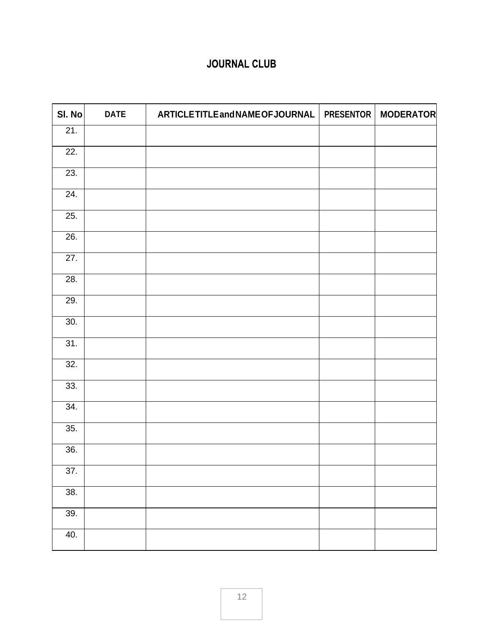# **JOURNAL CLUB**

| SI. No | <b>DATE</b> | ARTICLETITLEandNAMEOFJOURNAL | <b>PRESENTOR</b> | <b>MODERATOR</b> |
|--------|-------------|------------------------------|------------------|------------------|
| 21.    |             |                              |                  |                  |
| 22.    |             |                              |                  |                  |
| 23.    |             |                              |                  |                  |
| 24.    |             |                              |                  |                  |
| 25.    |             |                              |                  |                  |
| 26.    |             |                              |                  |                  |
| 27.    |             |                              |                  |                  |
| 28.    |             |                              |                  |                  |
| 29.    |             |                              |                  |                  |
| 30.    |             |                              |                  |                  |
| 31.    |             |                              |                  |                  |
| 32.    |             |                              |                  |                  |
| 33.    |             |                              |                  |                  |
| 34.    |             |                              |                  |                  |
| 35.    |             |                              |                  |                  |
| 36.    |             |                              |                  |                  |
| 37.    |             |                              |                  |                  |
| 38.    |             |                              |                  |                  |
| 39.    |             |                              |                  |                  |
| 40.    |             |                              |                  |                  |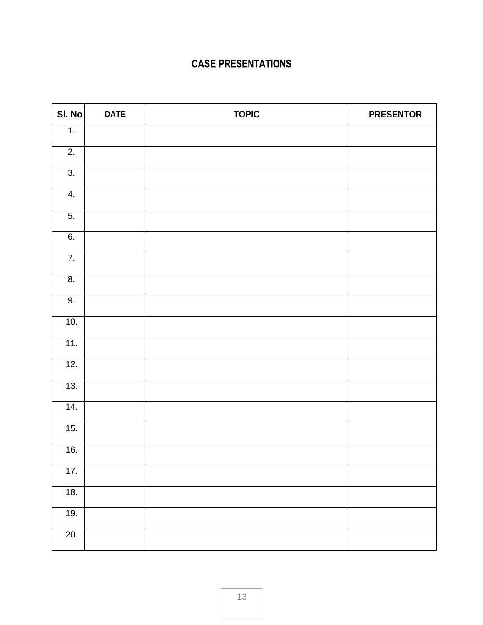| SI. No           | <b>DATE</b> | <b>TOPIC</b> | <b>PRESENTOR</b> |
|------------------|-------------|--------------|------------------|
| $\overline{1}$ . |             |              |                  |
| 2.               |             |              |                  |
| $\overline{3}$ . |             |              |                  |
| 4.               |             |              |                  |
| 5.               |             |              |                  |
| 6.               |             |              |                  |
| $\overline{7}$ . |             |              |                  |
| $\overline{8}$ . |             |              |                  |
| 9.               |             |              |                  |
| 10.              |             |              |                  |
| 11.              |             |              |                  |
| 12.              |             |              |                  |
| 13.              |             |              |                  |
| 14.              |             |              |                  |
| 15.              |             |              |                  |
| 16.              |             |              |                  |
| 17.              |             |              |                  |
| 18.              |             |              |                  |
| 19.              |             |              |                  |
| 20.              |             |              |                  |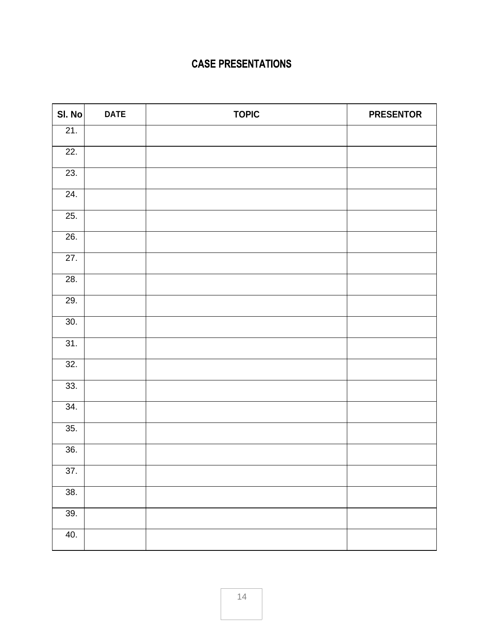| SI. No            | <b>DATE</b> | <b>TOPIC</b> | <b>PRESENTOR</b> |
|-------------------|-------------|--------------|------------------|
| 21.               |             |              |                  |
| 22.               |             |              |                  |
| 23.               |             |              |                  |
| 24.               |             |              |                  |
| 25.               |             |              |                  |
| 26.               |             |              |                  |
| 27.               |             |              |                  |
| 28.               |             |              |                  |
| 29.               |             |              |                  |
| 30.               |             |              |                  |
| 31.               |             |              |                  |
| 32.               |             |              |                  |
| 33.               |             |              |                  |
| 34.               |             |              |                  |
| 35.               |             |              |                  |
| 36.               |             |              |                  |
| $\overline{37}$ . |             |              |                  |
| 38.               |             |              |                  |
| 39.               |             |              |                  |
| 40.               |             |              |                  |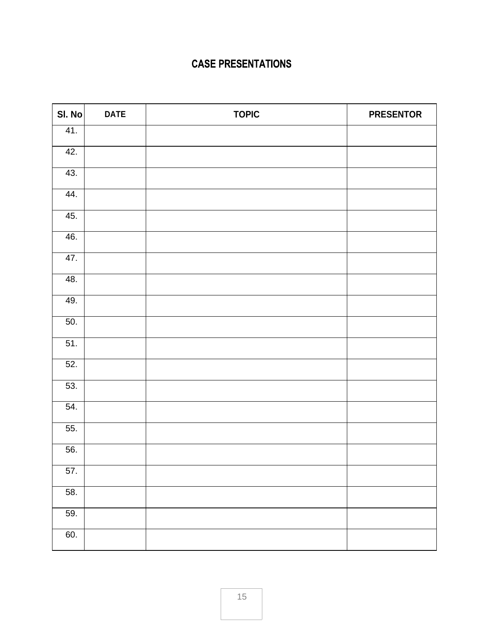| SI. No | <b>DATE</b> | <b>TOPIC</b> | <b>PRESENTOR</b> |
|--------|-------------|--------------|------------------|
| 41.    |             |              |                  |
| 42.    |             |              |                  |
| 43.    |             |              |                  |
| 44.    |             |              |                  |
| 45.    |             |              |                  |
| 46.    |             |              |                  |
| 47.    |             |              |                  |
| 48.    |             |              |                  |
| 49.    |             |              |                  |
| 50.    |             |              |                  |
| 51.    |             |              |                  |
| 52.    |             |              |                  |
| 53.    |             |              |                  |
| 54.    |             |              |                  |
| 55.    |             |              |                  |
| 56.    |             |              |                  |
| 57.    |             |              |                  |
| 58.    |             |              |                  |
| 59.    |             |              |                  |
| 60.    |             |              |                  |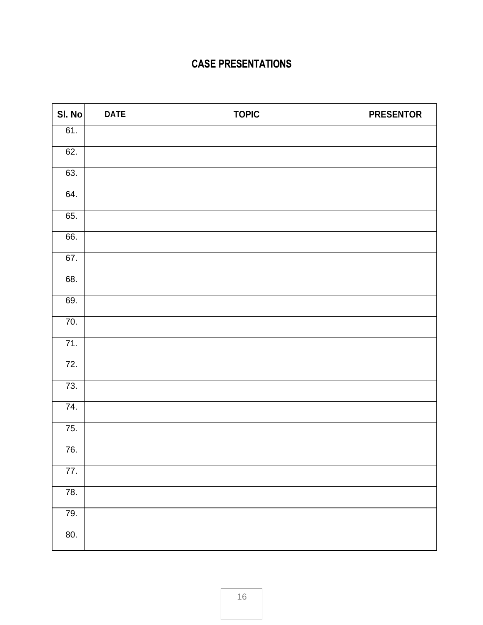| SI. No            | <b>DATE</b> | <b>TOPIC</b> | <b>PRESENTOR</b> |
|-------------------|-------------|--------------|------------------|
| 61.               |             |              |                  |
| 62.               |             |              |                  |
| 63.               |             |              |                  |
| $\overline{64}$ . |             |              |                  |
| 65.               |             |              |                  |
| 66.               |             |              |                  |
| 67.               |             |              |                  |
| 68.               |             |              |                  |
| 69.               |             |              |                  |
| 70.               |             |              |                  |
| 71.               |             |              |                  |
| $\overline{72}$ . |             |              |                  |
| 73.               |             |              |                  |
| 74.               |             |              |                  |
| 75.               |             |              |                  |
| 76.               |             |              |                  |
| 77.               |             |              |                  |
| 78.               |             |              |                  |
| 79.               |             |              |                  |
| 80.               |             |              |                  |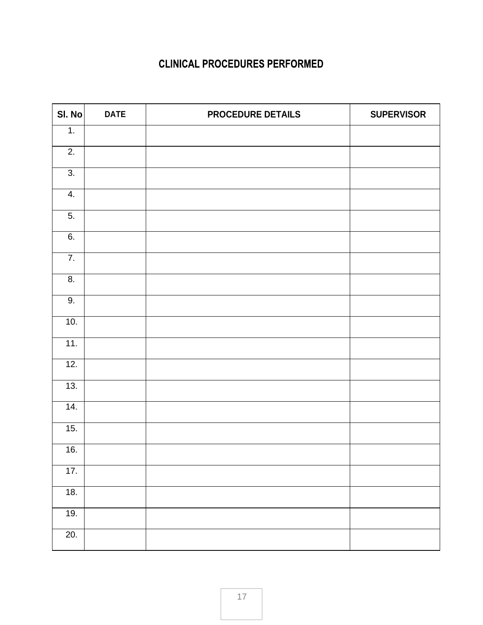| SI. No           | <b>DATE</b> | PROCEDURE DETAILS | <b>SUPERVISOR</b> |
|------------------|-------------|-------------------|-------------------|
| $\overline{1}$ . |             |                   |                   |
| 2.               |             |                   |                   |
| 3.               |             |                   |                   |
| 4.               |             |                   |                   |
| 5.               |             |                   |                   |
| 6.               |             |                   |                   |
| $\overline{7}$ . |             |                   |                   |
| 8.               |             |                   |                   |
| 9.               |             |                   |                   |
| 10.              |             |                   |                   |
| 11.              |             |                   |                   |
| 12.              |             |                   |                   |
| 13.              |             |                   |                   |
| 14.              |             |                   |                   |
| 15.              |             |                   |                   |
| 16.              |             |                   |                   |
| 17.              |             |                   |                   |
| 18.              |             |                   |                   |
| 19.              |             |                   |                   |
| 20.              |             |                   |                   |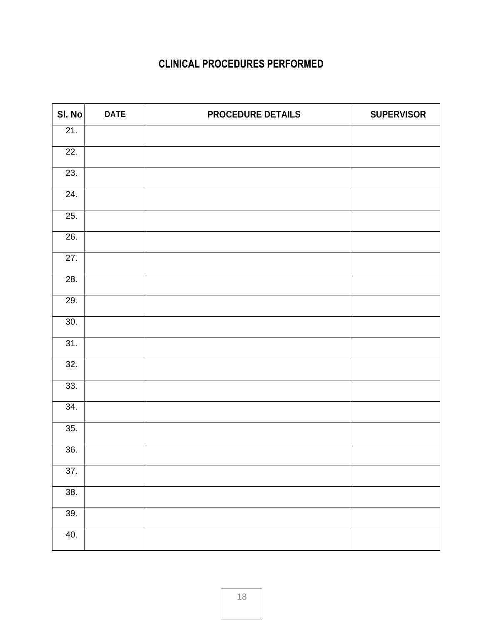| SI. No            | <b>DATE</b> | <b>PROCEDURE DETAILS</b> | <b>SUPERVISOR</b> |
|-------------------|-------------|--------------------------|-------------------|
| 21.               |             |                          |                   |
| 22.               |             |                          |                   |
| 23.               |             |                          |                   |
| 24.               |             |                          |                   |
| 25.               |             |                          |                   |
| 26.               |             |                          |                   |
| $\overline{27}$ . |             |                          |                   |
| 28.               |             |                          |                   |
| 29.               |             |                          |                   |
| 30.               |             |                          |                   |
| 31.               |             |                          |                   |
| 32.               |             |                          |                   |
| 33.               |             |                          |                   |
| 34.               |             |                          |                   |
| $\overline{35}$ . |             |                          |                   |
| 36.               |             |                          |                   |
| $\overline{37}$ . |             |                          |                   |
| 38.               |             |                          |                   |
| 39.               |             |                          |                   |
| 40.               |             |                          |                   |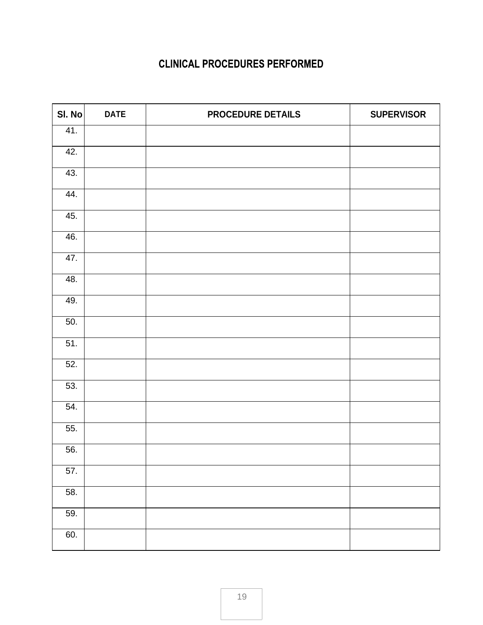| SI. No            | <b>DATE</b> | PROCEDURE DETAILS | <b>SUPERVISOR</b> |
|-------------------|-------------|-------------------|-------------------|
| 41.               |             |                   |                   |
| 42.               |             |                   |                   |
| 43.               |             |                   |                   |
| 44.               |             |                   |                   |
| 45.               |             |                   |                   |
| 46.               |             |                   |                   |
| 47.               |             |                   |                   |
| 48.               |             |                   |                   |
| 49.               |             |                   |                   |
| $\overline{50}$ . |             |                   |                   |
| 51.               |             |                   |                   |
| 52.               |             |                   |                   |
| 53.               |             |                   |                   |
| $\overline{54}$ . |             |                   |                   |
| 55.               |             |                   |                   |
| 56.               |             |                   |                   |
| 57.               |             |                   |                   |
| 58.               |             |                   |                   |
| 59.               |             |                   |                   |
| 60.               |             |                   |                   |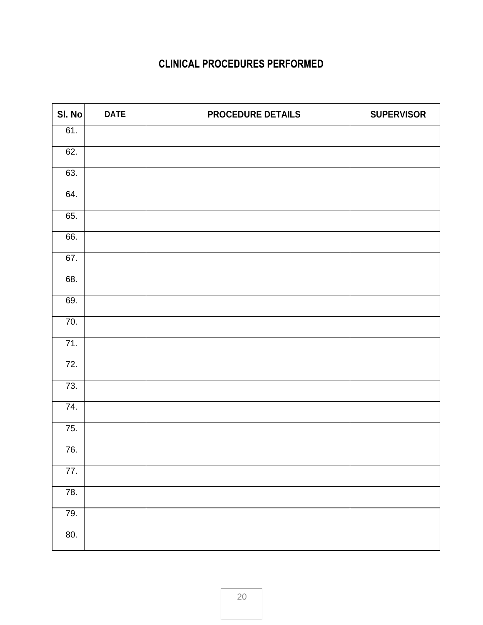| SI. No            | <b>DATE</b> | <b>PROCEDURE DETAILS</b> | <b>SUPERVISOR</b> |
|-------------------|-------------|--------------------------|-------------------|
| 61.               |             |                          |                   |
| 62.               |             |                          |                   |
| 63.               |             |                          |                   |
| 64.               |             |                          |                   |
| 65.               |             |                          |                   |
| 66.               |             |                          |                   |
| 67.               |             |                          |                   |
| 68.               |             |                          |                   |
| 69.               |             |                          |                   |
| 70.               |             |                          |                   |
| 71.               |             |                          |                   |
| $\overline{72}$ . |             |                          |                   |
| 73.               |             |                          |                   |
| 74.               |             |                          |                   |
| 75.               |             |                          |                   |
| 76.               |             |                          |                   |
| $\overline{77}$ . |             |                          |                   |
| $\overline{78}$ . |             |                          |                   |
| 79.               |             |                          |                   |
| 80.               |             |                          |                   |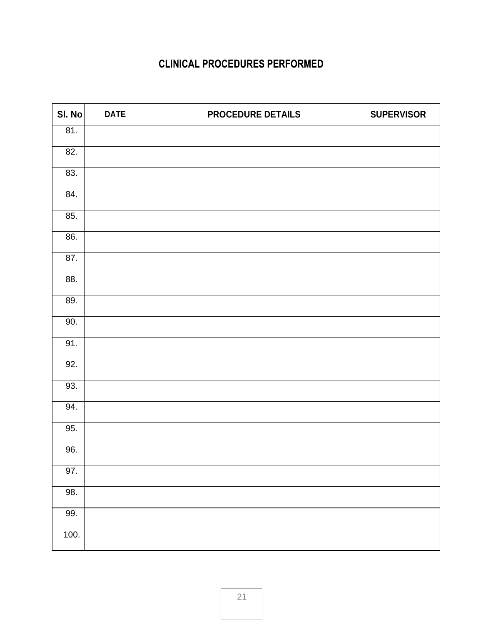| SI. No            | <b>DATE</b> | <b>PROCEDURE DETAILS</b> | <b>SUPERVISOR</b> |
|-------------------|-------------|--------------------------|-------------------|
| 81.               |             |                          |                   |
| 82.               |             |                          |                   |
| 83.               |             |                          |                   |
| 84.               |             |                          |                   |
| 85.               |             |                          |                   |
| 86.               |             |                          |                   |
| 87.               |             |                          |                   |
| 88.               |             |                          |                   |
| 89.               |             |                          |                   |
| 90.               |             |                          |                   |
| $\overline{91}$ . |             |                          |                   |
| 92.               |             |                          |                   |
| 93.               |             |                          |                   |
| $\overline{94}$ . |             |                          |                   |
| $\overline{95}$ . |             |                          |                   |
| 96.               |             |                          |                   |
| 97.               |             |                          |                   |
| 98.               |             |                          |                   |
| 99.               |             |                          |                   |
| 100.              |             |                          |                   |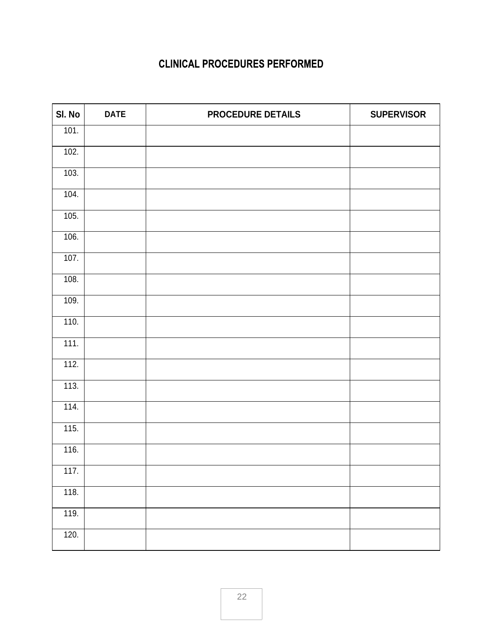| SI. No | <b>DATE</b> | <b>PROCEDURE DETAILS</b> | <b>SUPERVISOR</b> |
|--------|-------------|--------------------------|-------------------|
| 101.   |             |                          |                   |
| 102.   |             |                          |                   |
| 103.   |             |                          |                   |
| 104.   |             |                          |                   |
| 105.   |             |                          |                   |
| 106.   |             |                          |                   |
| 107.   |             |                          |                   |
| 108.   |             |                          |                   |
| 109.   |             |                          |                   |
| 110.   |             |                          |                   |
| 111.   |             |                          |                   |
| 112.   |             |                          |                   |
| 113.   |             |                          |                   |
| 114.   |             |                          |                   |
| 115.   |             |                          |                   |
| 116.   |             |                          |                   |
| 117.   |             |                          |                   |
| 118.   |             |                          |                   |
| 119.   |             |                          |                   |
| 120.   |             |                          |                   |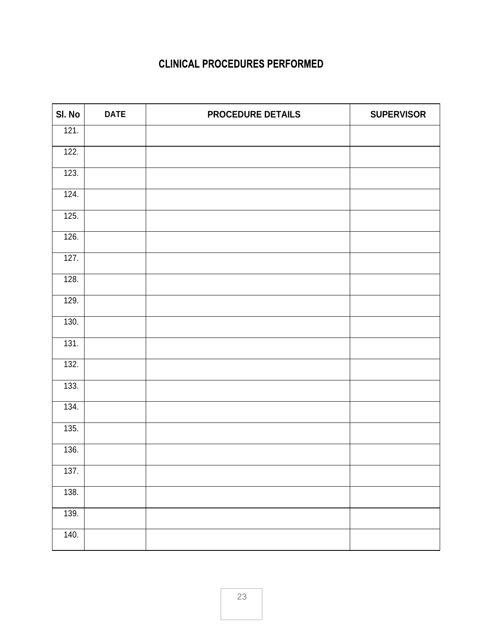| SI. No | <b>DATE</b> | PROCEDURE DETAILS | <b>SUPERVISOR</b> |
|--------|-------------|-------------------|-------------------|
| 121.   |             |                   |                   |
| 122.   |             |                   |                   |
| 123.   |             |                   |                   |
| 124.   |             |                   |                   |
| 125.   |             |                   |                   |
| 126.   |             |                   |                   |
| 127.   |             |                   |                   |
| 128.   |             |                   |                   |
| 129.   |             |                   |                   |
| 130.   |             |                   |                   |
| 131.   |             |                   |                   |
| 132.   |             |                   |                   |
| 133.   |             |                   |                   |
| 134.   |             |                   |                   |
| 135.   |             |                   |                   |
| 136.   |             |                   |                   |
| 137.   |             |                   |                   |
| 138.   |             |                   |                   |
| 139.   |             |                   |                   |
|        |             |                   |                   |
| 140.   |             |                   |                   |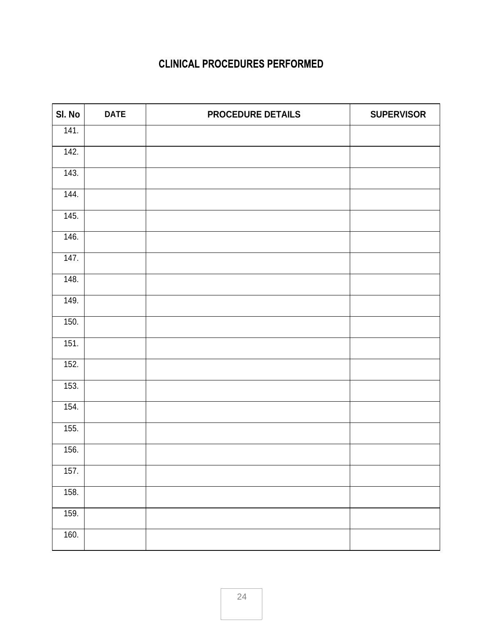| SI. No | <b>DATE</b> | <b>PROCEDURE DETAILS</b> | <b>SUPERVISOR</b> |
|--------|-------------|--------------------------|-------------------|
| 141.   |             |                          |                   |
| 142.   |             |                          |                   |
| 143.   |             |                          |                   |
| 144.   |             |                          |                   |
| 145.   |             |                          |                   |
| 146.   |             |                          |                   |
| 147.   |             |                          |                   |
| 148.   |             |                          |                   |
| 149.   |             |                          |                   |
| 150.   |             |                          |                   |
| 151.   |             |                          |                   |
| 152.   |             |                          |                   |
| 153.   |             |                          |                   |
| 154.   |             |                          |                   |
| 155.   |             |                          |                   |
| 156.   |             |                          |                   |
| 157.   |             |                          |                   |
| 158.   |             |                          |                   |
| 159.   |             |                          |                   |
| 160.   |             |                          |                   |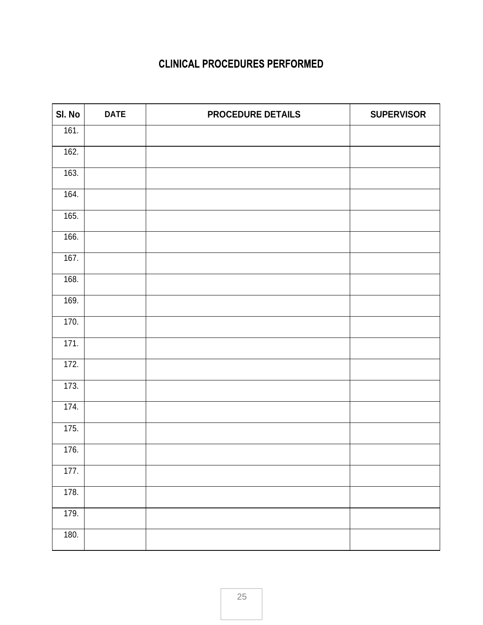| SI. No | <b>DATE</b> | <b>PROCEDURE DETAILS</b> | <b>SUPERVISOR</b> |
|--------|-------------|--------------------------|-------------------|
| 161.   |             |                          |                   |
| 162.   |             |                          |                   |
| 163.   |             |                          |                   |
| 164.   |             |                          |                   |
| 165.   |             |                          |                   |
| 166.   |             |                          |                   |
| 167.   |             |                          |                   |
| 168.   |             |                          |                   |
| 169.   |             |                          |                   |
| 170.   |             |                          |                   |
| 171.   |             |                          |                   |
| 172.   |             |                          |                   |
| 173.   |             |                          |                   |
| 174.   |             |                          |                   |
| 175.   |             |                          |                   |
| 176.   |             |                          |                   |
| 177.   |             |                          |                   |
| 178.   |             |                          |                   |
| 179.   |             |                          |                   |
| 180.   |             |                          |                   |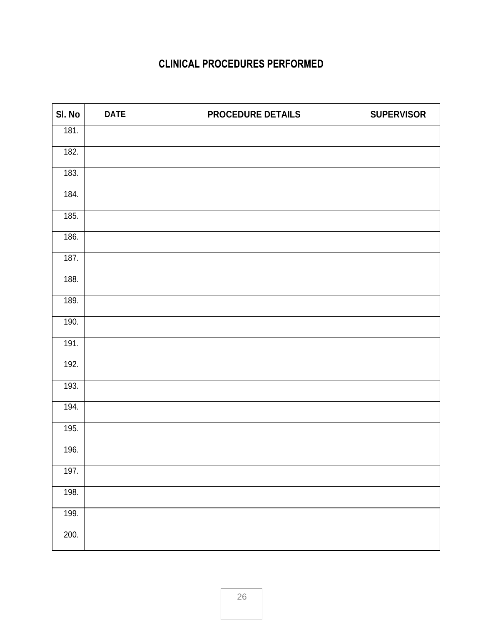| SI. No             | <b>DATE</b> | <b>PROCEDURE DETAILS</b> | <b>SUPERVISOR</b> |
|--------------------|-------------|--------------------------|-------------------|
| 181.               |             |                          |                   |
| 182.               |             |                          |                   |
| 183.               |             |                          |                   |
| 184.               |             |                          |                   |
| 185.               |             |                          |                   |
| 186.               |             |                          |                   |
| 187.               |             |                          |                   |
| 188.               |             |                          |                   |
| 189.               |             |                          |                   |
| 190.               |             |                          |                   |
| 191.               |             |                          |                   |
| 192.               |             |                          |                   |
| 193.               |             |                          |                   |
| $\overline{194}$ . |             |                          |                   |
| 195.               |             |                          |                   |
| 196.               |             |                          |                   |
| 197.               |             |                          |                   |
| 198.               |             |                          |                   |
| 199.               |             |                          |                   |
| 200.               |             |                          |                   |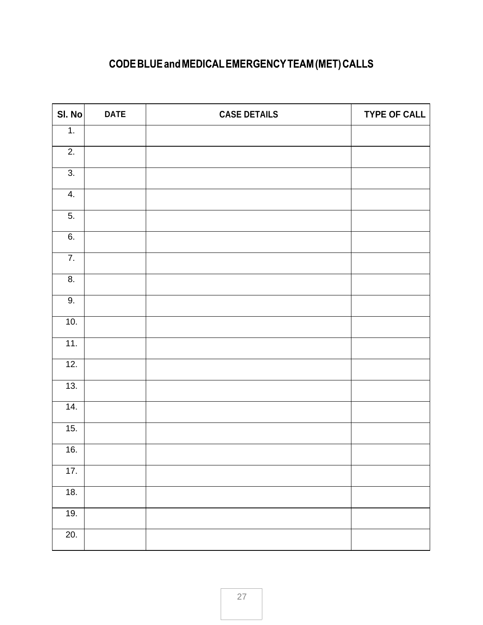# CODE BLUE and MEDICAL EMERGENCY TEAM (MET) CALLS

| SI. No            | <b>DATE</b> | <b>CASE DETAILS</b> | <b>TYPE OF CALL</b> |
|-------------------|-------------|---------------------|---------------------|
| $\overline{1}$ .  |             |                     |                     |
| $\overline{2}$ .  |             |                     |                     |
| $\overline{3}$ .  |             |                     |                     |
| 4.                |             |                     |                     |
| $\overline{5}$ .  |             |                     |                     |
| 6.                |             |                     |                     |
| $\overline{7}$ .  |             |                     |                     |
| $\overline{8}$ .  |             |                     |                     |
| 9.                |             |                     |                     |
| 10.               |             |                     |                     |
| 11.               |             |                     |                     |
| 12.               |             |                     |                     |
| 13.               |             |                     |                     |
| 14.               |             |                     |                     |
| 15.               |             |                     |                     |
| 16.               |             |                     |                     |
| 17.               |             |                     |                     |
| 18.               |             |                     |                     |
| 19.               |             |                     |                     |
| $\overline{20}$ . |             |                     |                     |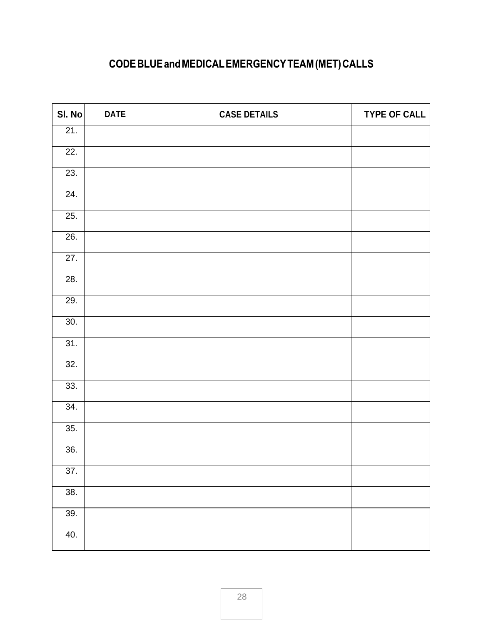# CODE BLUE and MEDICAL EMERGENCY TEAM (MET) CALLS

| SI. No            | <b>DATE</b> | <b>CASE DETAILS</b> | <b>TYPE OF CALL</b> |
|-------------------|-------------|---------------------|---------------------|
| 21.               |             |                     |                     |
| $\overline{22}$ . |             |                     |                     |
| 23.               |             |                     |                     |
| $\overline{24}$ . |             |                     |                     |
| 25.               |             |                     |                     |
| 26.               |             |                     |                     |
| 27.               |             |                     |                     |
| 28.               |             |                     |                     |
| 29.               |             |                     |                     |
| 30.               |             |                     |                     |
| 31.               |             |                     |                     |
| 32.               |             |                     |                     |
| 33.               |             |                     |                     |
| 34.               |             |                     |                     |
| 35.               |             |                     |                     |
| 36.               |             |                     |                     |
| $\overline{37}$ . |             |                     |                     |
| 38.               |             |                     |                     |
| 39.               |             |                     |                     |
| 40.               |             |                     |                     |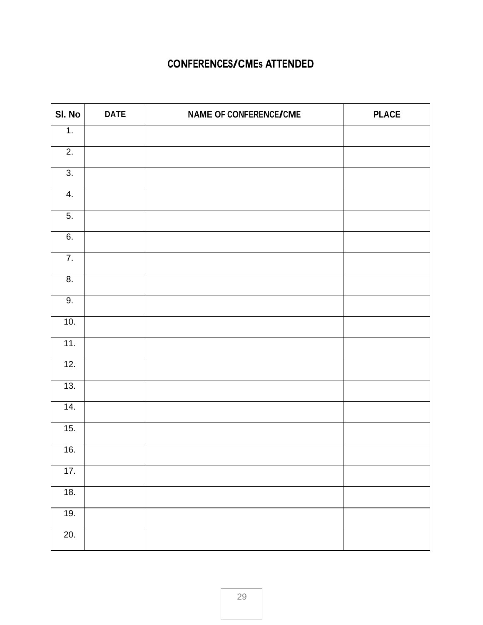#### **CONFERENCES/CMEs ATTENDED**

| SI. No            | <b>DATE</b> | <b>NAME OF CONFERENCE/CME</b> | <b>PLACE</b> |
|-------------------|-------------|-------------------------------|--------------|
| 1.                |             |                               |              |
| $\overline{2}$ .  |             |                               |              |
| 3.                |             |                               |              |
| 4.                |             |                               |              |
| $\overline{5}$ .  |             |                               |              |
| 6.                |             |                               |              |
| $\overline{7}$ .  |             |                               |              |
| 8.                |             |                               |              |
| 9.                |             |                               |              |
| 10.               |             |                               |              |
| 11.               |             |                               |              |
| 12.               |             |                               |              |
| 13.               |             |                               |              |
| 14.               |             |                               |              |
| 15.               |             |                               |              |
| 16.               |             |                               |              |
| 17.               |             |                               |              |
| 18.               |             |                               |              |
| 19.               |             |                               |              |
| $\overline{20}$ . |             |                               |              |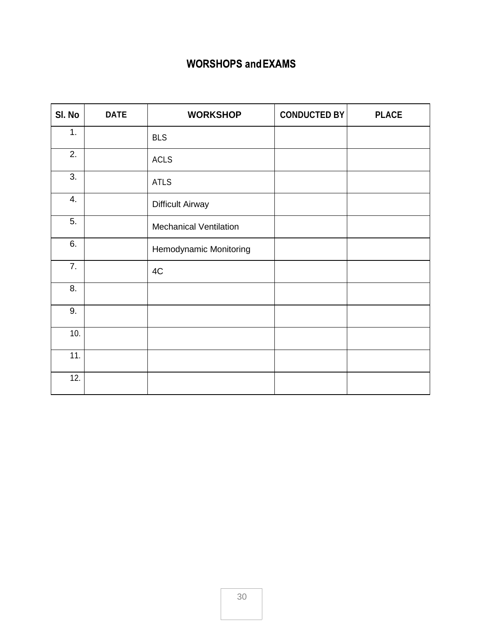#### **WORSHOPS and EXAMS**

| SI. No | <b>DATE</b> | <b>WORKSHOP</b>               | <b>CONDUCTED BY</b> | <b>PLACE</b> |
|--------|-------------|-------------------------------|---------------------|--------------|
| 1.     |             | <b>BLS</b>                    |                     |              |
| 2.     |             | <b>ACLS</b>                   |                     |              |
| 3.     |             | <b>ATLS</b>                   |                     |              |
| 4.     |             | <b>Difficult Airway</b>       |                     |              |
| 5.     |             | <b>Mechanical Ventilation</b> |                     |              |
| 6.     |             | Hemodynamic Monitoring        |                     |              |
| 7.     |             | 4C                            |                     |              |
| 8.     |             |                               |                     |              |
| 9.     |             |                               |                     |              |
| 10.    |             |                               |                     |              |
| 11.    |             |                               |                     |              |
| 12.    |             |                               |                     |              |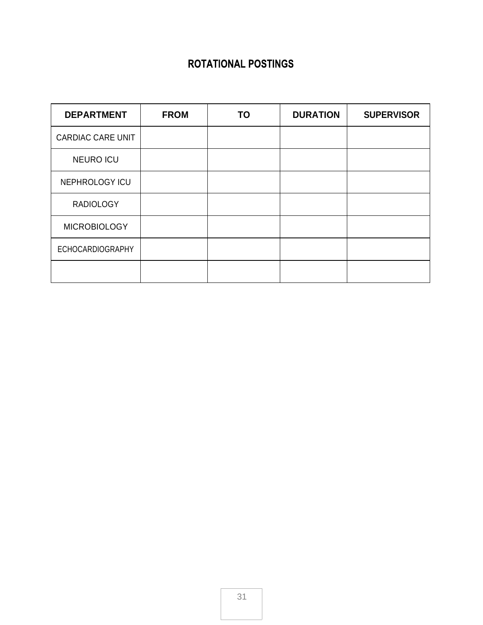#### **ROTATIONAL POSTINGS**

| <b>DEPARTMENT</b>        | <b>FROM</b> | TO | <b>DURATION</b> | <b>SUPERVISOR</b> |
|--------------------------|-------------|----|-----------------|-------------------|
| <b>CARDIAC CARE UNIT</b> |             |    |                 |                   |
| <b>NEURO ICU</b>         |             |    |                 |                   |
| NEPHROLOGY ICU           |             |    |                 |                   |
| <b>RADIOLOGY</b>         |             |    |                 |                   |
| <b>MICROBIOLOGY</b>      |             |    |                 |                   |
| <b>ECHOCARDIOGRAPHY</b>  |             |    |                 |                   |
|                          |             |    |                 |                   |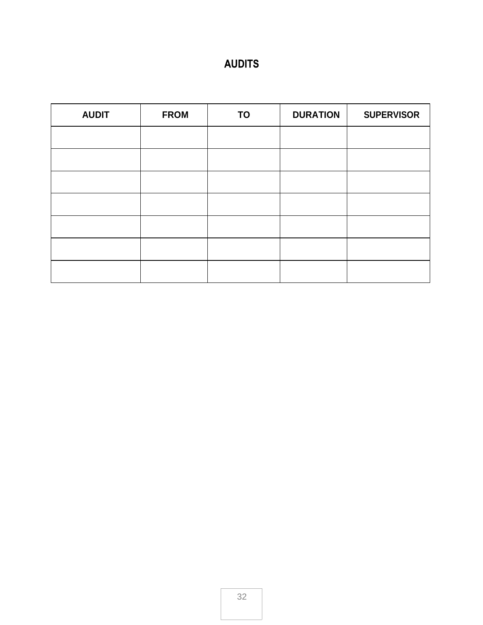# **AUDITS**

| <b>AUDIT</b> | <b>FROM</b> | <b>TO</b> | <b>DURATION</b> | <b>SUPERVISOR</b> |
|--------------|-------------|-----------|-----------------|-------------------|
|              |             |           |                 |                   |
|              |             |           |                 |                   |
|              |             |           |                 |                   |
|              |             |           |                 |                   |
|              |             |           |                 |                   |
|              |             |           |                 |                   |
|              |             |           |                 |                   |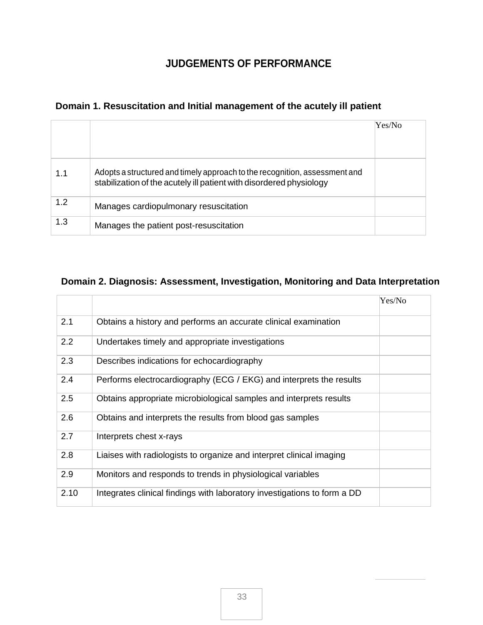#### **JUDGEMENTS OF PERFORMANCE**

#### **Domain 1. Resuscitation and Initial management of the acutely ill patient**

|     |                                                                                                                                                   | Yes/No |
|-----|---------------------------------------------------------------------------------------------------------------------------------------------------|--------|
| 1.1 | Adopts a structured and timely approach to the recognition, assessment and<br>stabilization of the acutely ill patient with disordered physiology |        |
| 1.2 | Manages cardiopulmonary resuscitation                                                                                                             |        |
| 1.3 | Manages the patient post-resuscitation                                                                                                            |        |

#### **Domain 2. Diagnosis: Assessment, Investigation, Monitoring and Data Interpretation**

|      |                                                                          | Yes/No |
|------|--------------------------------------------------------------------------|--------|
| 2.1  | Obtains a history and performs an accurate clinical examination          |        |
| 2.2  | Undertakes timely and appropriate investigations                         |        |
| 2.3  | Describes indications for echocardiography                               |        |
| 2.4  | Performs electrocardiography (ECG / EKG) and interprets the results      |        |
| 2.5  | Obtains appropriate microbiological samples and interprets results       |        |
| 2.6  | Obtains and interprets the results from blood gas samples                |        |
| 2.7  | Interprets chest x-rays                                                  |        |
| 2.8  | Liaises with radiologists to organize and interpret clinical imaging     |        |
| 2.9  | Monitors and responds to trends in physiological variables               |        |
| 2.10 | Integrates clinical findings with laboratory investigations to form a DD |        |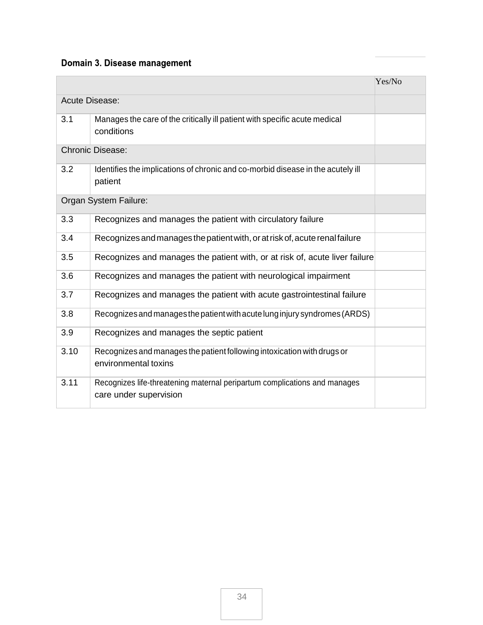# Domain 3. Disease management

|      |                                                                                                     | Yes/No |
|------|-----------------------------------------------------------------------------------------------------|--------|
|      | <b>Acute Disease:</b>                                                                               |        |
| 3.1  | Manages the care of the critically ill patient with specific acute medical<br>conditions            |        |
|      | <b>Chronic Disease:</b>                                                                             |        |
| 3.2  | Identifies the implications of chronic and co-morbid disease in the acutely ill<br>patient          |        |
|      | Organ System Failure:                                                                               |        |
| 3.3  | Recognizes and manages the patient with circulatory failure                                         |        |
| 3.4  | Recognizes and manages the patient with, or at risk of, acute renal failure                         |        |
| 3.5  | Recognizes and manages the patient with, or at risk of, acute liver failure                         |        |
| 3.6  | Recognizes and manages the patient with neurological impairment                                     |        |
| 3.7  | Recognizes and manages the patient with acute gastrointestinal failure                              |        |
| 3.8  | Recognizes and manages the patient with acute lung injury syndromes (ARDS)                          |        |
| 3.9  | Recognizes and manages the septic patient                                                           |        |
| 3.10 | Recognizes and manages the patient following intoxication with drugs or<br>environmental toxins     |        |
| 3.11 | Recognizes life-threatening maternal peripartum complications and manages<br>care under supervision |        |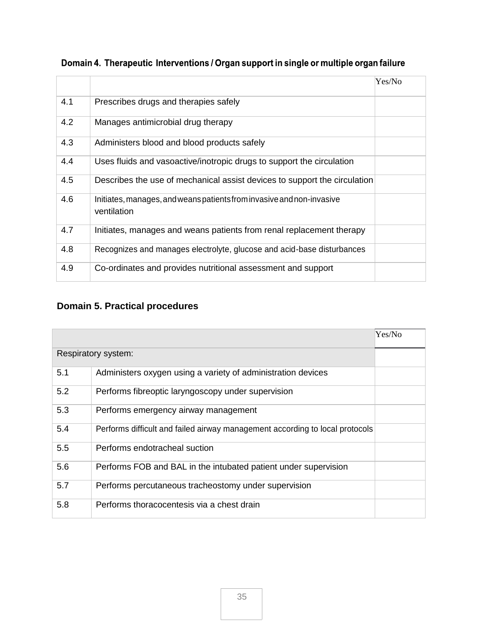|     |                                                                                      | Yes/No |
|-----|--------------------------------------------------------------------------------------|--------|
| 4.1 | Prescribes drugs and therapies safely                                                |        |
| 4.2 | Manages antimicrobial drug therapy                                                   |        |
| 4.3 | Administers blood and blood products safely                                          |        |
| 4.4 | Uses fluids and vasoactive/inotropic drugs to support the circulation                |        |
| 4.5 | Describes the use of mechanical assist devices to support the circulation            |        |
| 4.6 | Initiates, manages, and weans patients from invasive and non-invasive<br>ventilation |        |
| 4.7 | Initiates, manages and weans patients from renal replacement therapy                 |        |
| 4.8 | Recognizes and manages electrolyte, glucose and acid-base disturbances               |        |
| 4.9 | Co-ordinates and provides nutritional assessment and support                         |        |

|  |  |  | Domain 4. Therapeutic Interventions / Organ support in single or multiple organ failure |
|--|--|--|-----------------------------------------------------------------------------------------|
|  |  |  |                                                                                         |

# **Domain 5. Practical procedures**

|     |                                                                              | Yes/No |
|-----|------------------------------------------------------------------------------|--------|
|     | Respiratory system:                                                          |        |
| 5.1 | Administers oxygen using a variety of administration devices                 |        |
| 5.2 | Performs fibreoptic laryngoscopy under supervision                           |        |
| 5.3 | Performs emergency airway management                                         |        |
| 5.4 | Performs difficult and failed airway management according to local protocols |        |
| 5.5 | Performs endotracheal suction                                                |        |
| 5.6 | Performs FOB and BAL in the intubated patient under supervision              |        |
| 5.7 | Performs percutaneous tracheostomy under supervision                         |        |
| 5.8 | Performs thoracocentesis via a chest drain                                   |        |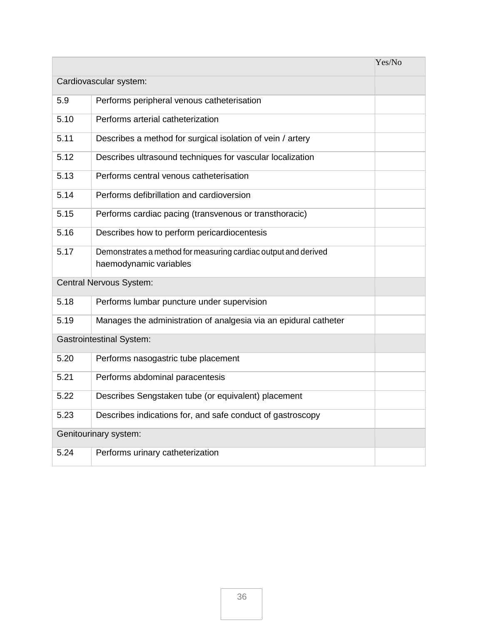|      |                                                                                          | Yes/No |
|------|------------------------------------------------------------------------------------------|--------|
|      | Cardiovascular system:                                                                   |        |
| 5.9  | Performs peripheral venous catheterisation                                               |        |
| 5.10 | Performs arterial catheterization                                                        |        |
| 5.11 | Describes a method for surgical isolation of vein / artery                               |        |
| 5.12 | Describes ultrasound techniques for vascular localization                                |        |
| 5.13 | Performs central venous catheterisation                                                  |        |
| 5.14 | Performs defibrillation and cardioversion                                                |        |
| 5.15 | Performs cardiac pacing (transvenous or transthoracic)                                   |        |
| 5.16 | Describes how to perform pericardiocentesis                                              |        |
| 5.17 | Demonstrates a method for measuring cardiac output and derived<br>haemodynamic variables |        |
|      | Central Nervous System:                                                                  |        |
| 5.18 | Performs lumbar puncture under supervision                                               |        |
| 5.19 | Manages the administration of analgesia via an epidural catheter                         |        |
|      | <b>Gastrointestinal System:</b>                                                          |        |
| 5.20 | Performs nasogastric tube placement                                                      |        |
| 5.21 | Performs abdominal paracentesis                                                          |        |
| 5.22 | Describes Sengstaken tube (or equivalent) placement                                      |        |
| 5.23 | Describes indications for, and safe conduct of gastroscopy                               |        |
|      | Genitourinary system:                                                                    |        |
| 5.24 | Performs urinary catheterization                                                         |        |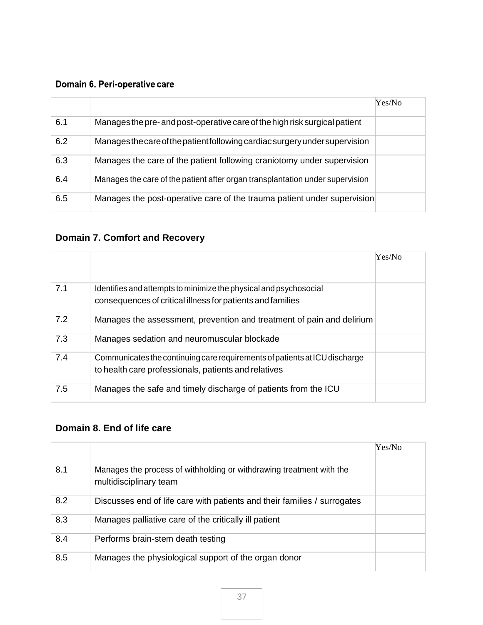#### Domain 6. Peri-operative care

|     |                                                                               | Yes/No |
|-----|-------------------------------------------------------------------------------|--------|
| 6.1 | Manages the pre- and post-operative care of the high risk surgical patient    |        |
| 6.2 | Manages the care of the patient following cardiac surgery under supervision   |        |
| 6.3 | Manages the care of the patient following craniotomy under supervision        |        |
| 6.4 | Manages the care of the patient after organ transplantation under supervision |        |
| 6.5 | Manages the post-operative care of the trauma patient under supervision       |        |

# **Domain 7. Comfort and Recovery**

|     |                                                                                                                                    | Yes/No |
|-----|------------------------------------------------------------------------------------------------------------------------------------|--------|
| 7.1 | Identifies and attempts to minimize the physical and psychosocial<br>consequences of critical illness for patients and families    |        |
| 7.2 | Manages the assessment, prevention and treatment of pain and delirium                                                              |        |
| 7.3 | Manages sedation and neuromuscular blockade                                                                                        |        |
| 7.4 | Communicates the continuing care requirements of patients at ICU discharge<br>to health care professionals, patients and relatives |        |
| 7.5 | Manages the safe and timely discharge of patients from the ICU                                                                     |        |

#### **Domain 8. End of life care**

|     |                                                                                                | Yes/No |
|-----|------------------------------------------------------------------------------------------------|--------|
| 8.1 | Manages the process of withholding or withdrawing treatment with the<br>multidisciplinary team |        |
| 8.2 | Discusses end of life care with patients and their families / surrogates                       |        |
| 8.3 | Manages palliative care of the critically ill patient                                          |        |
| 8.4 | Performs brain-stem death testing                                                              |        |
| 8.5 | Manages the physiological support of the organ donor                                           |        |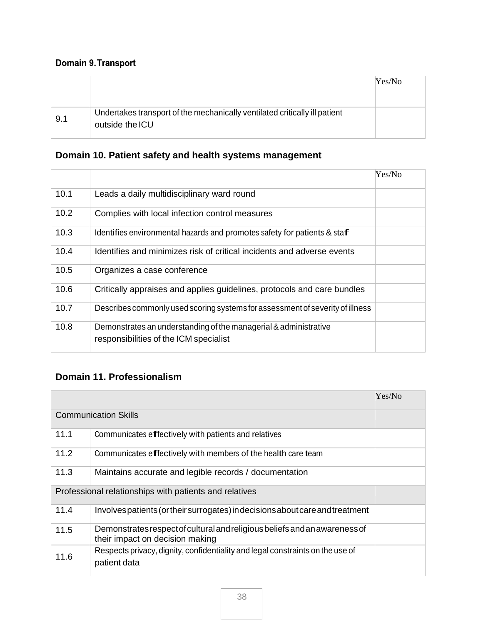# Domain 9. Transport

|     |                                                                                               | Yes/No |
|-----|-----------------------------------------------------------------------------------------------|--------|
|     |                                                                                               |        |
| 9.1 | Undertakes transport of the mechanically ventilated critically ill patient<br>outside the ICU |        |

#### **Domain 10. Patient safety and health systems management**

|      |                                                                                                            | Yes/No |
|------|------------------------------------------------------------------------------------------------------------|--------|
| 10.1 | Leads a daily multidisciplinary ward round                                                                 |        |
| 10.2 | Complies with local infection control measures                                                             |        |
| 10.3 | Identifies environmental hazards and promotes safety for patients & staf                                   |        |
| 10.4 | Identifies and minimizes risk of critical incidents and adverse events                                     |        |
| 10.5 | Organizes a case conference                                                                                |        |
| 10.6 | Critically appraises and applies guidelines, protocols and care bundles                                    |        |
| 10.7 | Describes commonly used scoring systems for assessment of severity of illness                              |        |
| 10.8 | Demonstrates an understanding of the managerial & administrative<br>responsibilities of the ICM specialist |        |

#### **Domain 11. Professionalism**

|      |                                                                                                               | Yes/No |
|------|---------------------------------------------------------------------------------------------------------------|--------|
|      | <b>Communication Skills</b>                                                                                   |        |
| 11.1 | Communicates effectively with patients and relatives                                                          |        |
| 11.2 | Communicates effectively with members of the health care team                                                 |        |
| 11.3 | Maintains accurate and legible records / documentation                                                        |        |
|      | Professional relationships with patients and relatives                                                        |        |
| 11.4 | Involves patients (or their surrogates) in decisions about care and treatment                                 |        |
| 11.5 | Demonstrates respect of cultural and religious beliefs and an awareness of<br>their impact on decision making |        |
| 11.6 | Respects privacy, dignity, confidentiality and legal constraints on the use of<br>patient data                |        |